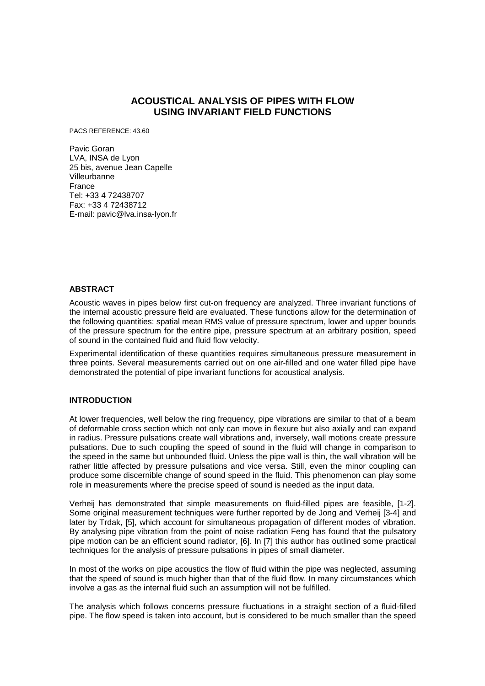# **ACOUSTICAL ANALYSIS OF PIPES WITH FLOW USING INVARIANT FIELD FUNCTIONS**

PACS REFERENCE: 43.60

Pavic Goran LVA, INSA de Lyon 25 bis, avenue Jean Capelle Villeurbanne France Tel: +33 4 72438707 Fax: +33 4 72438712 E-mail: pavic@lva.insa-lyon.fr

### **ABSTRACT**

Acoustic waves in pipes below first cut-on frequency are analyzed. Three invariant functions of the internal acoustic pressure field are evaluated. These functions allow for the determination of the following quantities: spatial mean RMS value of pressure spectrum, lower and upper bounds of the pressure spectrum for the entire pipe, pressure spectrum at an arbitrary position, speed of sound in the contained fluid and fluid flow velocity.

Experimental identification of these quantities requires simultaneous pressure measurement in three points. Several measurements carried out on one air-filled and one water filled pipe have demonstrated the potential of pipe invariant functions for acoustical analysis.

# **INTRODUCTION**

At lower frequencies, well below the ring frequency, pipe vibrations are similar to that of a beam of deformable cross section which not only can move in flexure but also axially and can expand in radius. Pressure pulsations create wall vibrations and, inversely, wall motions create pressure pulsations. Due to such coupling the speed of sound in the fluid will change in comparison to the speed in the same but unbounded fluid. Unless the pipe wall is thin, the wall vibration will be rather little affected by pressure pulsations and vice versa. Still, even the minor coupling can produce some discernible change of sound speed in the fluid. This phenomenon can play some role in measurements where the precise speed of sound is needed as the input data.

Verheij has demonstrated that simple measurements on fluid-filled pipes are feasible, [1-2]. Some original measurement techniques were further reported by de Jong and Verheij [3-4] and later by Trdak, [5], which account for simultaneous propagation of different modes of vibration. By analysing pipe vibration from the point of noise radiation Feng has found that the pulsatory pipe motion can be an efficient sound radiator, [6]. In [7] this author has outlined some practical techniques for the analysis of pressure pulsations in pipes of small diameter.

In most of the works on pipe acoustics the flow of fluid within the pipe was neglected, assuming that the speed of sound is much higher than that of the fluid flow. In many circumstances which involve a gas as the internal fluid such an assumption will not be fulfilled.

The analysis which follows concerns pressure fluctuations in a straight section of a fluid-filled pipe. The flow speed is taken into account, but is considered to be much smaller than the speed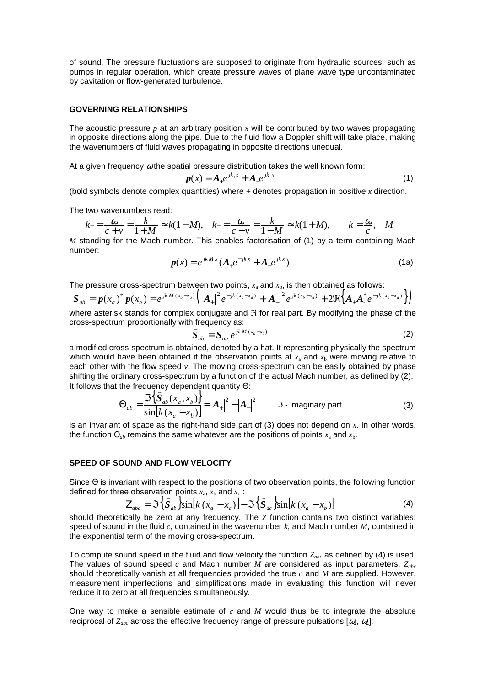of sound. The pressure fluctuations are supposed to originate from hydraulic sources, such as pumps in regular operation, which create pressure waves of plane wave type uncontaminated by cavitation or flow-generated turbulence.

#### **GOVERNING RELATIONSHIPS**

The acoustic pressure  $p$  at an arbitrary position  $x$  will be contributed by two waves propagating in opposite directions along the pipe. Due to the fluid flow a Doppler shift will take place, making the wavenumbers of fluid waves propagating in opposite directions unequal.

At a given frequency  $\omega$  the spatial pressure distribution takes the well known form:

$$
p(x) = A_{+}e^{jk_{+}x} + A_{-}e^{jk_{-}x}
$$
 (1)

(bold symbols denote complex quantities) where + denotes propagation in positive *x* direction.

The two wavenumbers read:

$$
k_{+} = \frac{\omega}{c+v} = \frac{k}{1+M} \approx k(1-M), \quad k_{-} = \frac{\omega}{c-v} = \frac{k}{1-M} \approx k(1+M), \qquad k = \frac{\omega}{c}, \quad M \langle \langle
$$

*M* standing for the Mach number. This enables factorisation of (1) by a term containing Mach number:

$$
p(x) = e^{jkMx} (A_+ e^{-jkx} + A_- e^{jkx})
$$
 (1a)

The pressure cross-spectrum between two points,  $x_a$  and  $x_b$ , is then obtained as follows:

$$
S_{ab} = p(x_a)^* p(x_b) = e^{jk M(x_b - x_a)} \Big( \Big| A_+ \Big|^2 e^{-jk (x_b - x_a)} + \Big| A_- \Big|^2 e^{jk (x_b - x_a)} + 2 \Re \Big\{ A_+ A_-^* e^{-jk (x_b + x_a)} \Big\} \Big)
$$

where asterisk stands for complex conjugate and  $\Re$  for real part. By modifying the phase of the cross-spectrum proportionally with frequency as:

$$
\widehat{S}_{ab} = S_{ab} e^{j k M (x_a - x_b)} \tag{2}
$$

a modified cross-spectrum is obtained, denoted by a hat. It representing physically the spectrum which would have been obtained if the observation points at  $x_a$  and  $x_b$  were moving relative to each other with the flow speed *v*. The moving cross-spectrum can be easily obtained by phase shifting the ordinary cross-spectrum by a function of the actual Mach number, as defined by (2). It follows that the frequency dependent quantity Θ: )

$$
\Theta_{ab} = \frac{\Im\left\{\mathbf{S}_{ab}(x_a, x_b)\right\}}{\sin[k(x_a - x_b)]} = |A_+|^2 - |A_-|^2 \qquad \Im \text{ - imaginary part}
$$
 (3)

is an invariant of space as the right-hand side part of (3) does not depend on *x*. In other words, the function  $\Theta_{ab}$  remains the same whatever are the positions of points  $x_a$  and  $x_b$ .

### **SPEED OF SOUND AND FLOW VELOCITY**

Since Θ is invariant with respect to the positions of two observation points, the following function defined for three observation points  $x_a$ ,  $x_b$  and  $x_c$ :

$$
Z_{abc} = \mathfrak{S} \left\{ \hat{S}_{ab} \right\} \sin[k (x_a - x_c)] - \mathfrak{S} \left\{ \hat{S}_{ac} \right\} \sin[k (x_a - x_b)] \tag{4}
$$

should theoretically be zero at any frequency. The *Z* function contains two distinct variables: speed of sound in the fluid *c*, contained in the wavenumber *k*, and Mach number *M*, contained in the exponential term of the moving cross-spectrum.

To compute sound speed in the fluid and flow velocity the function *Zabc* as defined by (4) is used. The values of sound speed *c* and Mach number *M* are considered as input parameters. *Zabc* should theoretically vanish at all frequencies provided the true *c* and *M* are supplied. However, measurement imperfections and simplifications made in evaluating this function will never reduce it to zero at all frequencies simultaneously.

One way to make a sensible estimate of *c* and *M* would thus be to integrate the absolute reciprocal of  $Z_{abc}$  across the effective frequency range of pressure pulsations  $[\omega_1, \omega_2]$ :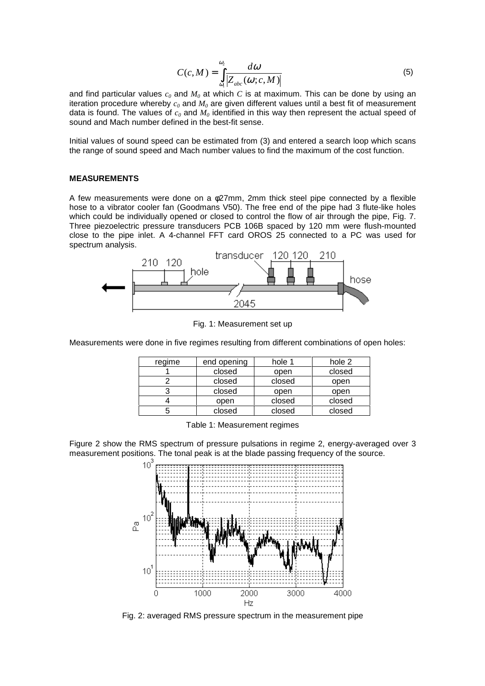$$
C(c,M) = \int_{\omega_1}^{\omega_2} \frac{d\omega}{|Z_{abc}(\omega;c,M)|}
$$
 (5)

and find particular values *c<sup>0</sup>* and *M<sup>0</sup>* at which *C* is at maximum. This can be done by using an iteration procedure whereby  $c_0$  and  $M_0$  are given different values until a best fit of measurement data is found. The values of  $c_0$  and  $M_0$  identified in this way then represent the actual speed of sound and Mach number defined in the best-fit sense.

Initial values of sound speed can be estimated from (3) and entered a search loop which scans the range of sound speed and Mach number values to find the maximum of the cost function.

#### **MEASUREMENTS**

A few measurements were done on a φ27mm, 2mm thick steel pipe connected by a flexible hose to a vibrator cooler fan (Goodmans V50). The free end of the pipe had 3 flute-like holes which could be individually opened or closed to control the flow of air through the pipe, Fig. 7. Three piezoelectric pressure transducers PCB 106B spaced by 120 mm were flush-mounted close to the pipe inlet. A 4-channel FFT card OROS 25 connected to a PC was used for spectrum analysis.



Fig. 1: Measurement set up

Measurements were done in five regimes resulting from different combinations of open holes:

| regime | end opening | hole 1 | hole 2 |  |
|--------|-------------|--------|--------|--|
|        | closed      | open   | closed |  |
|        | closed      | closed | open   |  |
|        | closed      | open   | open   |  |
|        | open        | closed | closed |  |
|        | closed      | closed | closed |  |

Table 1: Measurement regimes

Figure 2 show the RMS spectrum of pressure pulsations in regime 2, energy-averaged over 3 measurement positions. The tonal peak is at the blade passing frequency of the source.



Fig. 2: averaged RMS pressure spectrum in the measurement pipe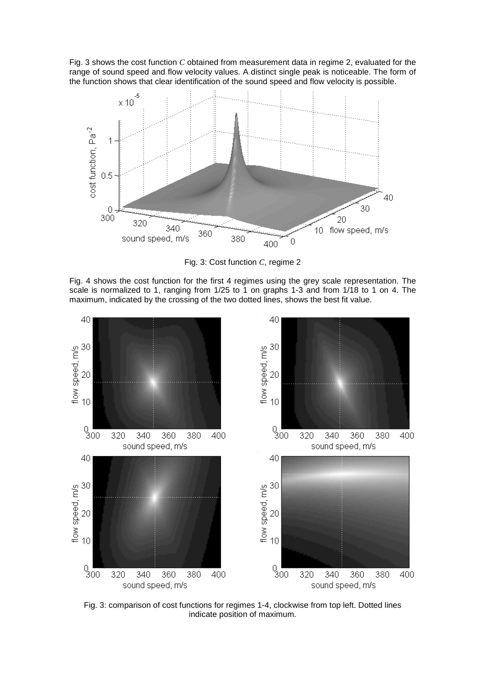Fig. 3 shows the cost function *C* obtained from measurement data in regime 2, evaluated for the range of sound speed and flow velocity values. A distinct single peak is noticeable. The form of the function shows that clear identification of the sound speed and flow velocity is possible.



Fig. 3: Cost function *C*, regime 2

Fig. 4 shows the cost function for the first 4 regimes using the grey scale representation. The scale is normalized to 1, ranging from 1/25 to 1 on graphs 1-3 and from 1/18 to 1 on 4. The maximum, indicated by the crossing of the two dotted lines, shows the best fit value.



Fig. 3: comparison of cost functions for regimes 1-4, clockwise from top left. Dotted lines indicate position of maximum.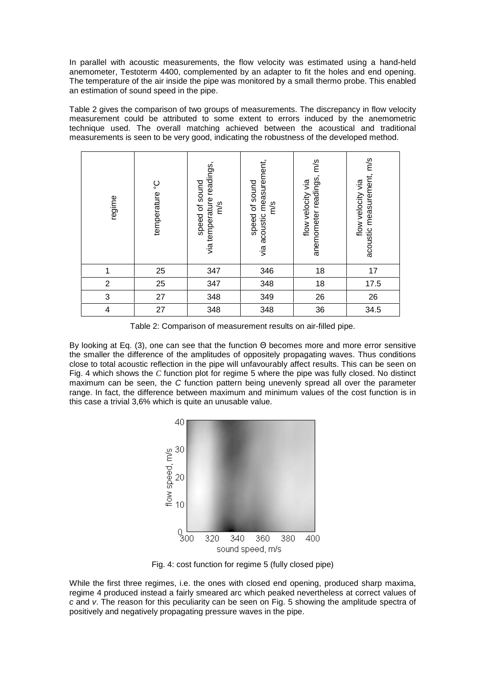In parallel with acoustic measurements, the flow velocity was estimated using a hand-held anemometer, Testoterm 4400, complemented by an adapter to fit the holes and end opening. The temperature of the air inside the pipe was monitored by a small thermo probe. This enabled an estimation of sound speed in the pipe.

Table 2 gives the comparison of two groups of measurements. The discrepancy in flow velocity measurement could be attributed to some extent to errors induced by the anemometric technique used. The overall matching achieved between the acoustical and traditional measurements is seen to be very good, indicating the robustness of the developed method.

| regime                  | temperature °C | via temperature readings,<br>speed of sound<br>m/s | via acoustic measurement,<br>speed of sound<br>m/s | anemometer readings, m/s<br>flow velocity via | acoustic measurement, m/s<br>flow velocity via |
|-------------------------|----------------|----------------------------------------------------|----------------------------------------------------|-----------------------------------------------|------------------------------------------------|
| 1                       | 25             | 347                                                | 346                                                | 18                                            | 17                                             |
| $\overline{2}$          | 25             | 347                                                | 348                                                | 18                                            | 17.5                                           |
| 3                       | 27             | 348                                                | 349                                                | 26                                            | 26                                             |
| $\overline{\mathbf{4}}$ | 27             | 348                                                | 348                                                | 36                                            | 34.5                                           |

Table 2: Comparison of measurement results on air-filled pipe.

By looking at Eq. (3), one can see that the function Θ becomes more and more error sensitive the smaller the difference of the amplitudes of oppositely propagating waves. Thus conditions close to total acoustic reflection in the pipe will unfavourably affect results. This can be seen on Fig. 4 which shows the *C* function plot for regime 5 where the pipe was fully closed. No distinct maximum can be seen, the C function pattern being unevenly spread all over the parameter range. In fact, the difference between maximum and minimum values of the cost function is in this case a trivial 3,6% which is quite an unusable value.



Fig. 4: cost function for regime 5 (fully closed pipe)

While the first three regimes, i.e. the ones with closed end opening, produced sharp maxima, regime 4 produced instead a fairly smeared arc which peaked nevertheless at correct values of c and v. The reason for this peculiarity can be seen on Fig. 5 showing the amplitude spectra of positively and negatively propagating pressure waves in the pipe.